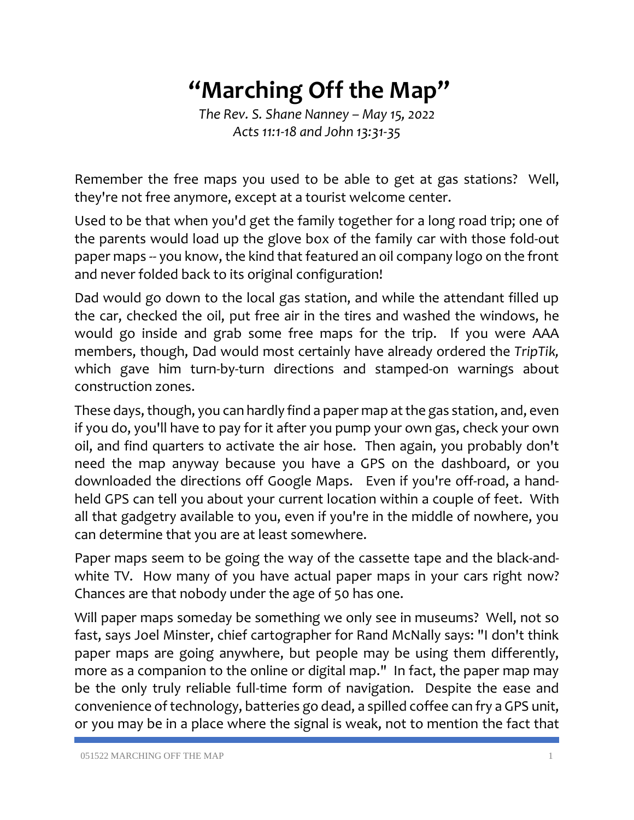## **"Marching Off the Map"**

*The Rev. S. Shane Nanney – May 15, 2022 Acts 11:1-18 and John 13:31-35*

Remember the free maps you used to be able to get at gas stations? Well, they're not free anymore, except at a tourist welcome center.

Used to be that when you'd get the family together for a long road trip; one of the parents would load up the glove box of the family car with those fold-out paper maps -- you know, the kind that featured an oil company logo on the front and never folded back to its original configuration!

Dad would go down to the local gas station, and while the attendant filled up the car, checked the oil, put free air in the tires and washed the windows, he would go inside and grab some free maps for the trip. If you were AAA members, though, Dad would most certainly have already ordered the *TripTik,* which gave him turn-by-turn directions and stamped-on warnings about construction zones.

These days, though, you can hardly find a paper map at the gas station, and, even if you do, you'll have to pay for it after you pump your own gas, check your own oil, and find quarters to activate the air hose. Then again, you probably don't need the map anyway because you have a GPS on the dashboard, or you downloaded the directions off Google Maps. Even if you're off-road, a handheld GPS can tell you about your current location within a couple of feet. With all that gadgetry available to you, even if you're in the middle of nowhere, you can determine that you are at least somewhere.

Paper maps seem to be going the way of the cassette tape and the black-andwhite TV. How many of you have actual paper maps in your cars right now? Chances are that nobody under the age of 50 has one.

Will paper maps someday be something we only see in museums? Well, not so fast, says Joel Minster, chief cartographer for Rand McNally says: "I don't think paper maps are going anywhere, but people may be using them differently, more as a companion to the online or digital map." In fact, the paper map may be the only truly reliable full-time form of navigation. Despite the ease and convenience of technology, batteries go dead, a spilled coffee can fry a GPS unit, or you may be in a place where the signal is weak, not to mention the fact that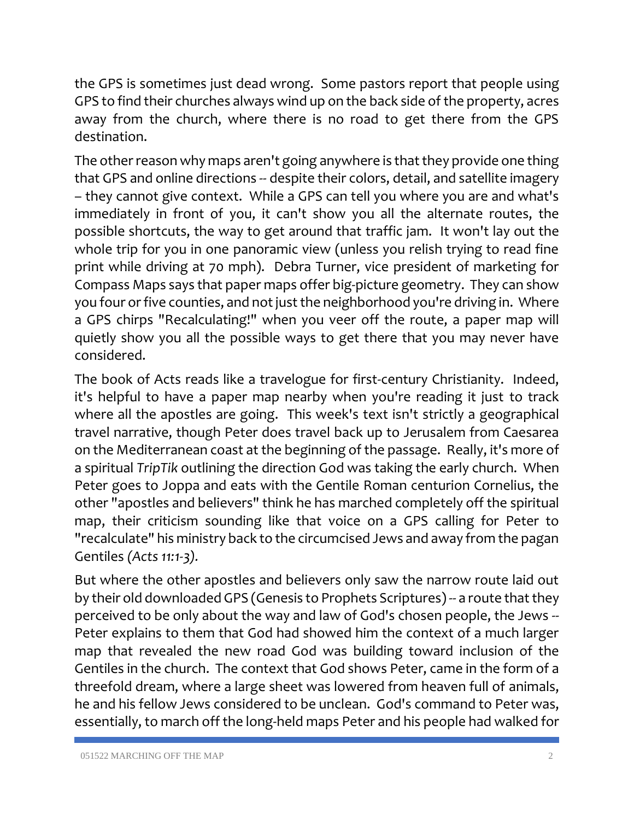the GPS is sometimes just dead wrong. Some pastors report that people using GPS to find their churches always wind up on the back side of the property, acres away from the church, where there is no road to get there from the GPS destination.

The other reason why maps aren't going anywhere is that they provide one thing that GPS and online directions -- despite their colors, detail, and satellite imagery – they cannot give context. While a GPS can tell you where you are and what's immediately in front of you, it can't show you all the alternate routes, the possible shortcuts, the way to get around that traffic jam. It won't lay out the whole trip for you in one panoramic view (unless you relish trying to read fine print while driving at 70 mph). Debra Turner, vice president of marketing for Compass Maps says that paper maps offer big-picture geometry. They can show you four or five counties, and not just the neighborhood you're driving in. Where a GPS chirps "Recalculating!" when you veer off the route, a paper map will quietly show you all the possible ways to get there that you may never have considered.

The book of Acts reads like a travelogue for first-century Christianity. Indeed, it's helpful to have a paper map nearby when you're reading it just to track where all the apostles are going. This week's text isn't strictly a geographical travel narrative, though Peter does travel back up to Jerusalem from Caesarea on the Mediterranean coast at the beginning of the passage. Really, it's more of a spiritual *TripTik* outlining the direction God was taking the early church. When Peter goes to Joppa and eats with the Gentile Roman centurion Cornelius, the other "apostles and believers" think he has marched completely off the spiritual map, their criticism sounding like that voice on a GPS calling for Peter to "recalculate" his ministry back to the circumcised Jews and away from the pagan Gentiles *(Acts 11:1-3).*

But where the other apostles and believers only saw the narrow route laid out by their old downloaded GPS (Genesis to Prophets Scriptures) -- a route that they perceived to be only about the way and law of God's chosen people, the Jews -- Peter explains to them that God had showed him the context of a much larger map that revealed the new road God was building toward inclusion of the Gentiles in the church. The context that God shows Peter, came in the form of a threefold dream, where a large sheet was lowered from heaven full of animals, he and his fellow Jews considered to be unclean. God's command to Peter was, essentially, to march off the long-held maps Peter and his people had walked for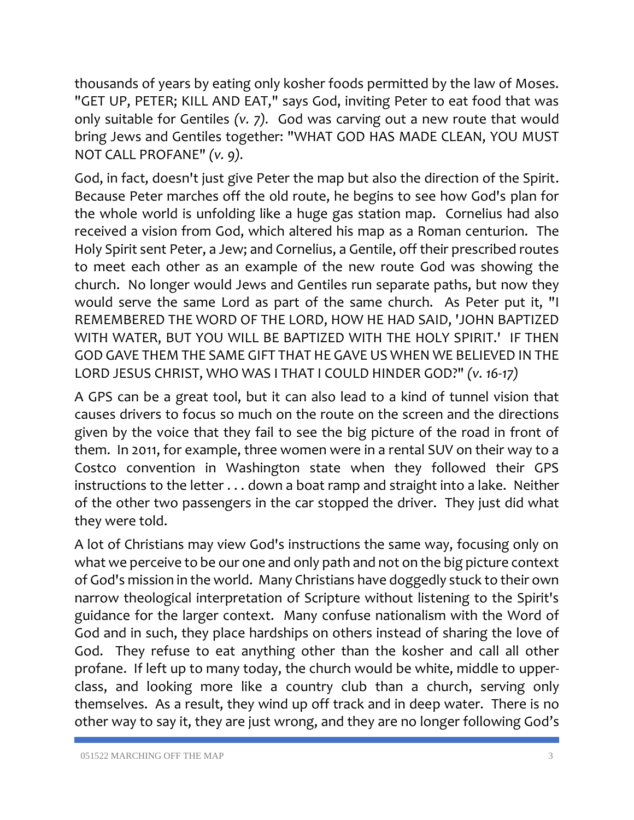thousands of years by eating only kosher foods permitted by the law of Moses. "GET UP, PETER; KILL AND EAT," says God, inviting Peter to eat food that was only suitable for Gentiles *(v. 7).* God was carving out a new route that would bring Jews and Gentiles together: "WHAT GOD HAS MADE CLEAN, YOU MUST NOT CALL PROFANE" *(v. 9).*

God, in fact, doesn't just give Peter the map but also the direction of the Spirit. Because Peter marches off the old route, he begins to see how God's plan for the whole world is unfolding like a huge gas station map. Cornelius had also received a vision from God, which altered his map as a Roman centurion. The Holy Spirit sent Peter, a Jew; and Cornelius, a Gentile, off their prescribed routes to meet each other as an example of the new route God was showing the church. No longer would Jews and Gentiles run separate paths, but now they would serve the same Lord as part of the same church. As Peter put it, "I REMEMBERED THE WORD OF THE LORD, HOW HE HAD SAID, 'JOHN BAPTIZED WITH WATER, BUT YOU WILL BE BAPTIZED WITH THE HOLY SPIRIT.' IF THEN GOD GAVE THEM THE SAME GIFT THAT HE GAVE US WHEN WE BELIEVED IN THE LORD JESUS CHRIST, WHO WAS I THAT I COULD HINDER GOD?" *(v. 16-17)*

A GPS can be a great tool, but it can also lead to a kind of tunnel vision that causes drivers to focus so much on the route on the screen and the directions given by the voice that they fail to see the big picture of the road in front of them. In 2011, for example, three women were in a rental SUV on their way to a Costco convention in Washington state when they followed their GPS instructions to the letter . . . down a boat ramp and straight into a lake. Neither of the other two passengers in the car stopped the driver. They just did what they were told.

A lot of Christians may view God's instructions the same way, focusing only on what we perceive to be our one and only path and not on the big picture context of God's mission in the world. Many Christians have doggedly stuck to their own narrow theological interpretation of Scripture without listening to the Spirit's guidance for the larger context. Many confuse nationalism with the Word of God and in such, they place hardships on others instead of sharing the love of God. They refuse to eat anything other than the kosher and call all other profane. If left up to many today, the church would be white, middle to upperclass, and looking more like a country club than a church, serving only themselves. As a result, they wind up off track and in deep water. There is no other way to say it, they are just wrong, and they are no longer following God's